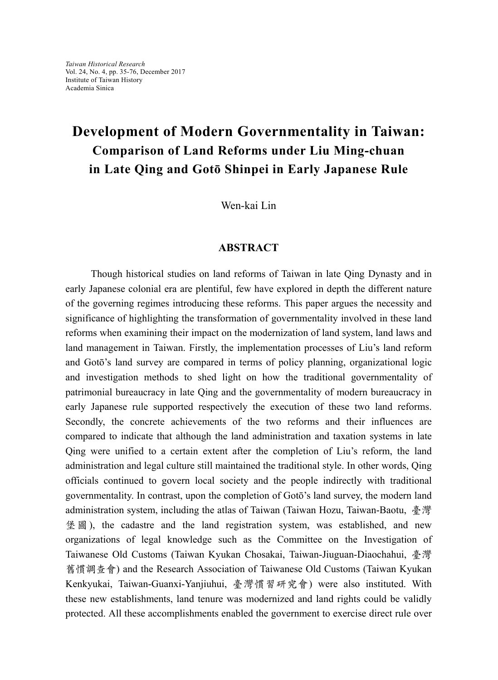## **Development of Modern Governmentality in Taiwan: Comparison of Land Reforms under Liu Ming-chuan in Late Qing and Gotō Shinpei in Early Japanese Rule**

Wen-kai Lin

## **ABSTRACT**

 Though historical studies on land reforms of Taiwan in late Qing Dynasty and in early Japanese colonial era are plentiful, few have explored in depth the different nature of the governing regimes introducing these reforms. This paper argues the necessity and significance of highlighting the transformation of governmentality involved in these land reforms when examining their impact on the modernization of land system, land laws and land management in Taiwan. Firstly, the implementation processes of Liu's land reform and Gotō's land survey are compared in terms of policy planning, organizational logic and investigation methods to shed light on how the traditional governmentality of patrimonial bureaucracy in late Qing and the governmentality of modern bureaucracy in early Japanese rule supported respectively the execution of these two land reforms. Secondly, the concrete achievements of the two reforms and their influences are compared to indicate that although the land administration and taxation systems in late Qing were unified to a certain extent after the completion of Liu's reform, the land administration and legal culture still maintained the traditional style. In other words, Qing officials continued to govern local society and the people indirectly with traditional governmentality. In contrast, upon the completion of Gotō's land survey, the modern land administration system, including the atlas of Taiwan (Taiwan Hozu, Taiwan-Baotu, 臺灣 堡 圖 ), the cadastre and the land registration system, was established, and new organizations of legal knowledge such as the Committee on the Investigation of Taiwanese Old Customs (Taiwan Kyukan Chosakai, Taiwan-Jiuguan-Diaochahui, 臺灣 舊慣調查會) and the Research Association of Taiwanese Old Customs (Taiwan Kyukan Kenkyukai, Taiwan-Guanxi-Yanjiuhui, 臺灣慣習研究會) were also instituted. With these new establishments, land tenure was modernized and land rights could be validly protected. All these accomplishments enabled the government to exercise direct rule over